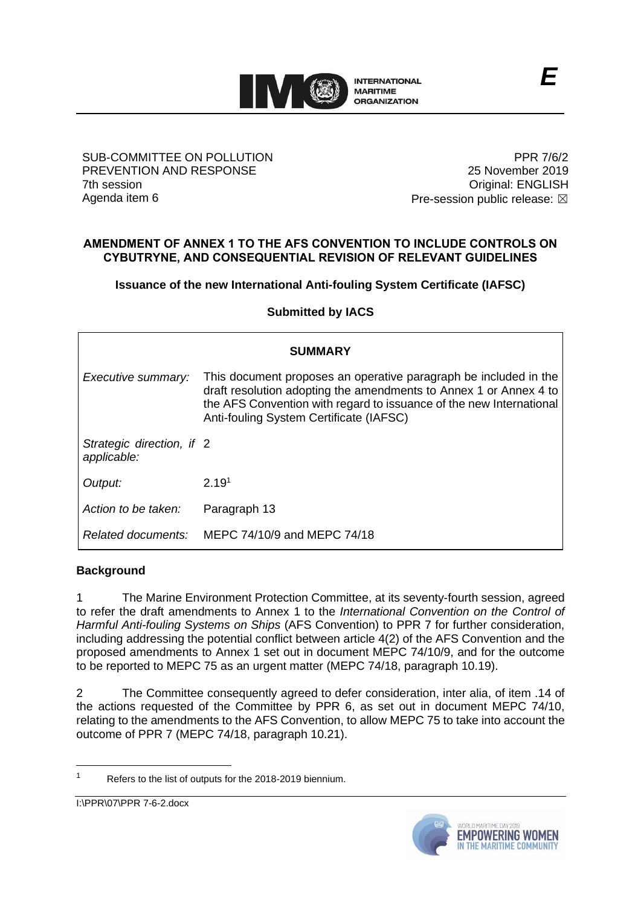

### SUB-COMMITTEE ON POLLUTION PREVENTION AND RESPONSE 7th session Agenda item 6

PPR 7/6/2 25 November 2019 Original: ENGLISH Pre-session public release:  $\boxtimes$ 

# **AMENDMENT OF ANNEX 1 TO THE AFS CONVENTION TO INCLUDE CONTROLS ON CYBUTRYNE, AND CONSEQUENTIAL REVISION OF RELEVANT GUIDELINES**

**Issuance of the new International Anti-fouling System Certificate (IAFSC)**

**Submitted by IACS**

| <b>SUMMARY</b>                           |                                                                                                                                                                                                                                                         |
|------------------------------------------|---------------------------------------------------------------------------------------------------------------------------------------------------------------------------------------------------------------------------------------------------------|
| Executive summary:                       | This document proposes an operative paragraph be included in the<br>draft resolution adopting the amendments to Annex 1 or Annex 4 to<br>the AFS Convention with regard to issuance of the new International<br>Anti-fouling System Certificate (IAFSC) |
| Strategic direction, if 2<br>applicable: |                                                                                                                                                                                                                                                         |
| Output:                                  | 2.19 <sup>1</sup>                                                                                                                                                                                                                                       |
| Action to be taken:                      | Paragraph 13                                                                                                                                                                                                                                            |
| Related documents:                       | MEPC 74/10/9 and MEPC 74/18                                                                                                                                                                                                                             |

# **Background**

The Marine Environment Protection Committee, at its seventy-fourth session, agreed to refer the draft amendments to Annex 1 to the *International Convention on the Control of Harmful Anti-fouling Systems on Ships* (AFS Convention) to PPR 7 for further consideration, including addressing the potential conflict between article 4(2) of the AFS Convention and the proposed amendments to Annex 1 set out in document MEPC 74/10/9, and for the outcome to be reported to MEPC 75 as an urgent matter (MEPC 74/18, paragraph 10.19).

2 The Committee consequently agreed to defer consideration, inter alia, of item .14 of the actions requested of the Committee by PPR 6, as set out in document MEPC 74/10, relating to the amendments to the AFS Convention, to allow MEPC 75 to take into account the outcome of PPR 7 (MEPC 74/18, paragraph 10.21).



<sup>1</sup> Refers to the list of outputs for the 2018-2019 biennium.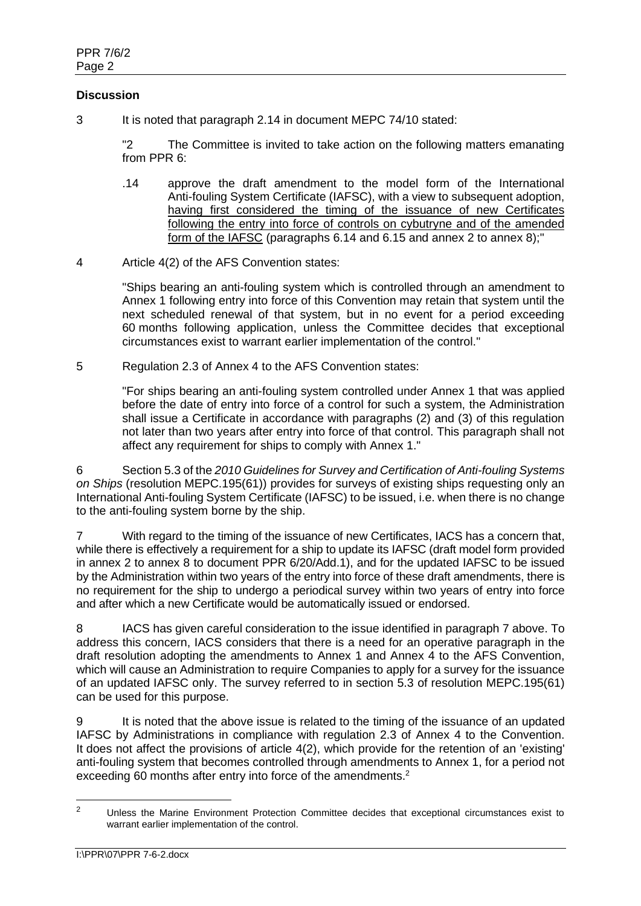## **Discussion**

3 It is noted that paragraph 2.14 in document MEPC 74/10 stated:

"2 The Committee is invited to take action on the following matters emanating from PPR 6:

- .14 approve the draft amendment to the model form of the International Anti-fouling System Certificate (IAFSC), with a view to subsequent adoption, having first considered the timing of the issuance of new Certificates following the entry into force of controls on cybutryne and of the amended form of the IAFSC (paragraphs 6.14 and 6.15 and annex 2 to annex 8);"
- 4 Article 4(2) of the AFS Convention states:

"Ships bearing an anti-fouling system which is controlled through an amendment to [Annex 1](mk:@MSITStore:C:/Program%20Files%20(x86)/Lloyd) following entry into force of this Convention may retain that system until the next scheduled renewal of that system, but in no event for a period exceeding 60 months following application, unless the Committee decides that exceptional circumstances exist to warrant earlier implementation of the control."

5 Regulation 2.3 of Annex 4 to the AFS Convention states:

"For ships bearing an anti-fouling system controlled under [Annex 1](mk:@MSITStore:C:/Program%20Files%20(x86)/Lloyd) that was applied before the date of entry into force of a control for such a system, the Administration shall issue a Certificate in accordance with paragraphs (2) and (3) of this regulation not later than two years after entry into force of that control. This paragraph shall not affect any requirement for ships to comply with [Annex 1.](mk:@MSITStore:C:/Program%20Files%20(x86)/Lloyd)"

6 Section 5.3 of the *2010 Guidelines for Survey and Certification of Anti-fouling Systems on Ships* (resolution MEPC.195(61)) provides for surveys of existing ships requesting only an International Anti-fouling System Certificate (IAFSC) to be issued, i.e. when there is no change to the anti-fouling system borne by the ship.

7 With regard to the timing of the issuance of new Certificates, IACS has a concern that, while there is effectively a requirement for a ship to update its IAFSC (draft model form provided in annex 2 to annex 8 to document PPR 6/20/Add.1), and for the updated IAFSC to be issued by the Administration within two years of the entry into force of these draft amendments, there is no requirement for the ship to undergo a periodical survey within two years of entry into force and after which a new Certificate would be automatically issued or endorsed.

8 IACS has given careful consideration to the issue identified in paragraph 7 above. To address this concern, IACS considers that there is a need for an operative paragraph in the draft resolution adopting the amendments to Annex 1 and Annex 4 to the AFS Convention, which will cause an Administration to require Companies to apply for a survey for the issuance of an updated IAFSC only. The survey referred to in section 5.3 of resolution MEPC.195(61) can be used for this purpose.

9 It is noted that the above issue is related to the timing of the issuance of an updated IAFSC by Administrations in compliance with regulation 2.3 of Annex 4 to the Convention. It does not affect the provisions of article 4(2), which provide for the retention of an 'existing' anti-fouling system that becomes controlled through amendments to Annex 1, for a period not exceeding 60 months after entry into force of the amendments.<sup>2</sup>

<sup>&</sup>lt;sup>2</sup> Unless the Marine Environment Protection Committee decides that exceptional circumstances exist to warrant earlier implementation of the control.